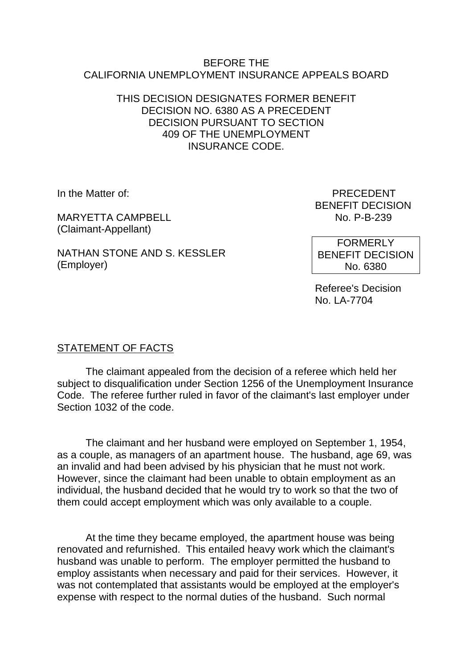### BEFORE THE CALIFORNIA UNEMPLOYMENT INSURANCE APPEALS BOARD

## THIS DECISION DESIGNATES FORMER BENEFIT DECISION NO. 6380 AS A PRECEDENT DECISION PURSUANT TO SECTION 409 OF THE UNEMPLOYMENT INSURANCE CODE.

MARYFTTA CAMPBELL (Claimant-Appellant)

NATHAN STONE AND S. KESSLER (Employer)

In the Matter of: PRECEDENT BENEFIT DECISION<br>No. P-B-239

> FORMERLY BENEFIT DECISION No. 6380

Referee's Decision No. LA-7704

# STATEMENT OF FACTS

The claimant appealed from the decision of a referee which held her subject to disqualification under Section 1256 of the Unemployment Insurance Code. The referee further ruled in favor of the claimant's last employer under Section 1032 of the code.

The claimant and her husband were employed on September 1, 1954, as a couple, as managers of an apartment house. The husband, age 69, was an invalid and had been advised by his physician that he must not work. However, since the claimant had been unable to obtain employment as an individual, the husband decided that he would try to work so that the two of them could accept employment which was only available to a couple.

At the time they became employed, the apartment house was being renovated and refurnished. This entailed heavy work which the claimant's husband was unable to perform. The employer permitted the husband to employ assistants when necessary and paid for their services. However, it was not contemplated that assistants would be employed at the employer's expense with respect to the normal duties of the husband. Such normal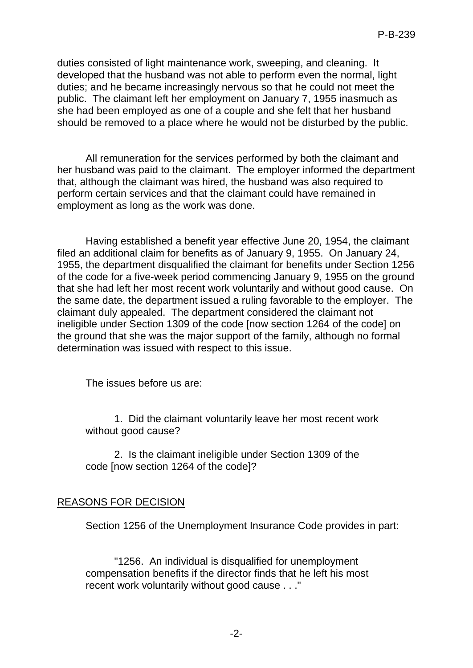duties consisted of light maintenance work, sweeping, and cleaning. It developed that the husband was not able to perform even the normal, light duties; and he became increasingly nervous so that he could not meet the public. The claimant left her employment on January 7, 1955 inasmuch as she had been employed as one of a couple and she felt that her husband should be removed to a place where he would not be disturbed by the public.

All remuneration for the services performed by both the claimant and her husband was paid to the claimant. The employer informed the department that, although the claimant was hired, the husband was also required to perform certain services and that the claimant could have remained in employment as long as the work was done.

Having established a benefit year effective June 20, 1954, the claimant filed an additional claim for benefits as of January 9, 1955. On January 24, 1955, the department disqualified the claimant for benefits under Section 1256 of the code for a five-week period commencing January 9, 1955 on the ground that she had left her most recent work voluntarily and without good cause. On the same date, the department issued a ruling favorable to the employer. The claimant duly appealed. The department considered the claimant not ineligible under Section 1309 of the code [now section 1264 of the code] on the ground that she was the major support of the family, although no formal determination was issued with respect to this issue.

The issues before us are:

1. Did the claimant voluntarily leave her most recent work without good cause?

2. Is the claimant ineligible under Section 1309 of the code [now section 1264 of the code]?

## REASONS FOR DECISION

Section 1256 of the Unemployment Insurance Code provides in part:

"1256. An individual is disqualified for unemployment compensation benefits if the director finds that he left his most recent work voluntarily without good cause . . ."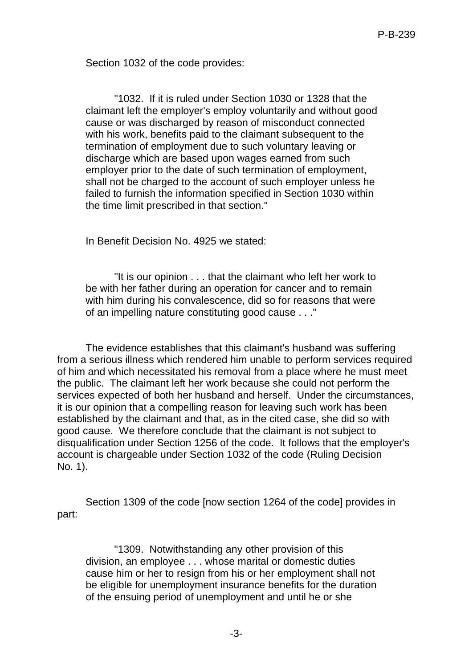Section 1032 of the code provides:

"1032. If it is ruled under Section 1030 or 1328 that the claimant left the employer's employ voluntarily and without good cause or was discharged by reason of misconduct connected with his work, benefits paid to the claimant subsequent to the termination of employment due to such voluntary leaving or discharge which are based upon wages earned from such employer prior to the date of such termination of employment, shall not be charged to the account of such employer unless he failed to furnish the information specified in Section 1030 within the time limit prescribed in that section."

In Benefit Decision No. 4925 we stated:

"It is our opinion . . . that the claimant who left her work to be with her father during an operation for cancer and to remain with him during his convalescence, did so for reasons that were of an impelling nature constituting good cause . . ."

The evidence establishes that this claimant's husband was suffering from a serious illness which rendered him unable to perform services required of him and which necessitated his removal from a place where he must meet the public. The claimant left her work because she could not perform the services expected of both her husband and herself. Under the circumstances, it is our opinion that a compelling reason for leaving such work has been established by the claimant and that, as in the cited case, she did so with good cause. We therefore conclude that the claimant is not subject to disqualification under Section 1256 of the code. It follows that the employer's account is chargeable under Section 1032 of the code (Ruling Decision No. 1).

Section 1309 of the code [now section 1264 of the code] provides in part:

"1309. Notwithstanding any other provision of this division, an employee . . . whose marital or domestic duties cause him or her to resign from his or her employment shall not be eligible for unemployment insurance benefits for the duration of the ensuing period of unemployment and until he or she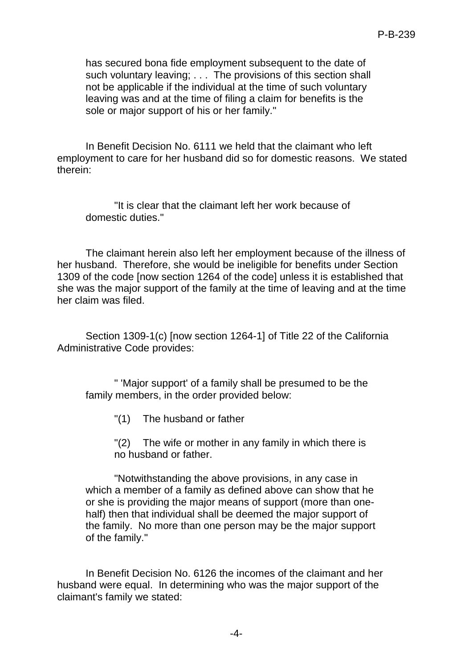has secured bona fide employment subsequent to the date of such voluntary leaving; . . . The provisions of this section shall not be applicable if the individual at the time of such voluntary leaving was and at the time of filing a claim for benefits is the sole or major support of his or her family."

In Benefit Decision No. 6111 we held that the claimant who left employment to care for her husband did so for domestic reasons. We stated therein:

"It is clear that the claimant left her work because of domestic duties."

The claimant herein also left her employment because of the illness of her husband. Therefore, she would be ineligible for benefits under Section 1309 of the code [now section 1264 of the code] unless it is established that she was the major support of the family at the time of leaving and at the time her claim was filed.

Section 1309-1(c) [now section 1264-1] of Title 22 of the California Administrative Code provides:

" 'Major support' of a family shall be presumed to be the family members, in the order provided below:

"(1) The husband or father

"(2) The wife or mother in any family in which there is no husband or father.

"Notwithstanding the above provisions, in any case in which a member of a family as defined above can show that he or she is providing the major means of support (more than onehalf) then that individual shall be deemed the major support of the family. No more than one person may be the major support of the family."

In Benefit Decision No. 6126 the incomes of the claimant and her husband were equal. In determining who was the major support of the claimant's family we stated: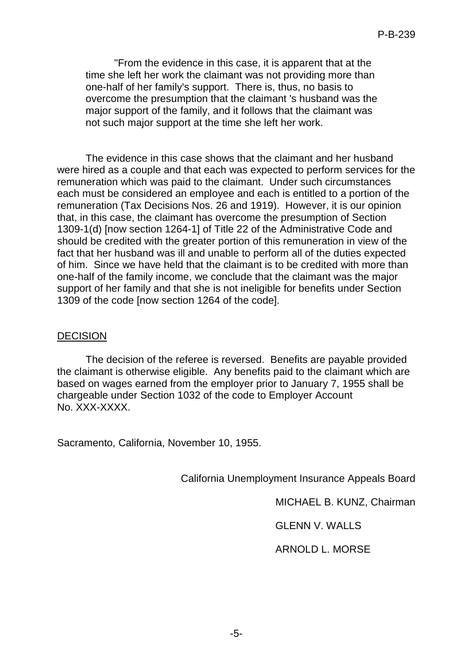"From the evidence in this case, it is apparent that at the time she left her work the claimant was not providing more than one-half of her family's support. There is, thus, no basis to overcome the presumption that the claimant 's husband was the major support of the family, and it follows that the claimant was not such major support at the time she left her work.

The evidence in this case shows that the claimant and her husband were hired as a couple and that each was expected to perform services for the remuneration which was paid to the claimant. Under such circumstances each must be considered an employee and each is entitled to a portion of the remuneration (Tax Decisions Nos. 26 and 1919). However, it is our opinion that, in this case, the claimant has overcome the presumption of Section 1309-1(d) [now section 1264-1] of Title 22 of the Administrative Code and should be credited with the greater portion of this remuneration in view of the fact that her husband was ill and unable to perform all of the duties expected of him. Since we have held that the claimant is to be credited with more than one-half of the family income, we conclude that the claimant was the major support of her family and that she is not ineligible for benefits under Section 1309 of the code [now section 1264 of the code].

### DECISION

The decision of the referee is reversed. Benefits are payable provided the claimant is otherwise eligible. Any benefits paid to the claimant which are based on wages earned from the employer prior to January 7, 1955 shall be chargeable under Section 1032 of the code to Employer Account No. XXX-XXXX.

Sacramento, California, November 10, 1955.

California Unemployment Insurance Appeals Board

MICHAEL B. KUNZ, Chairman

GLENN V. WALLS

ARNOLD L. MORSE